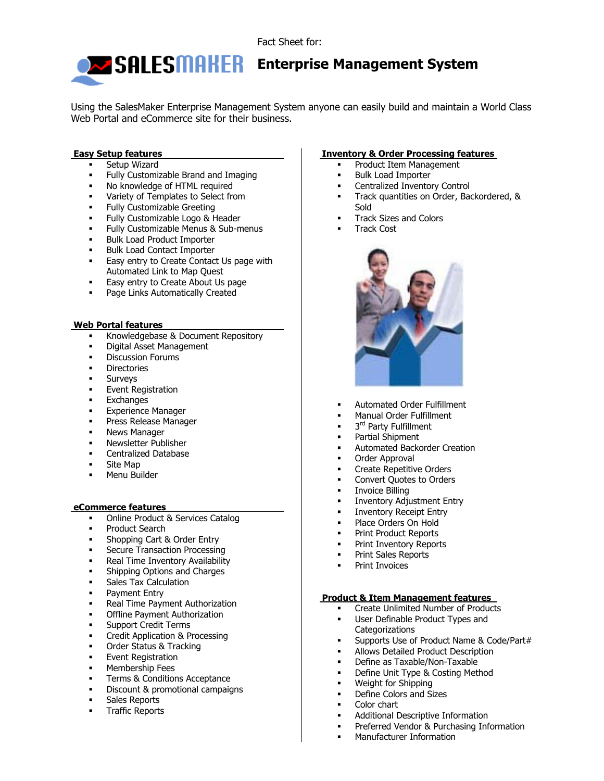

# **Enterprise Management System**

Using the SalesMaker Enterprise Management System anyone can easily build and maintain a World Class Web Portal and eCommerce site for their business.

## **Easy Setup features**

- Setup Wizard
- Fully Customizable Brand and Imaging
- No knowledge of HTML required
- Variety of Templates to Select from
- Fully Customizable Greeting
- **Fully Customizable Logo & Header**
- Fully Customizable Menus & Sub-menus
- **Bulk Load Product Importer**
- **Bulk Load Contact Importer**
- **Easy entry to Create Contact Us page with** Automated Link to Map Quest
- **Easy entry to Create About Us page**
- **Page Links Automatically Created**

#### **Web Portal features**

- Knowledgebase & Document Repository
- Digital Asset Management
- Discussion Forums
- **Directories**
- Surveys
- Event Registration
- **Exchanges**
- Experience Manager
- **Press Release Manager**
- **News Manager**
- **Newsletter Publisher**
- **•** Centralized Database
- Site Map
- Menu Builder

#### **eCommerce features**

- Online Product & Services Catalog
- Product Search
- Shopping Cart & Order Entry
- Secure Transaction Processing
- Real Time Inventory Availability
- Shipping Options and Charges
- **Sales Tax Calculation**
- **Payment Entry**
- Real Time Payment Authorization
- **•** Offline Payment Authorization
- **Support Credit Terms**
- **Credit Application & Processing**
- **•** Order Status & Tracking
- Event Registration
- Membership Fees
- Terms & Conditions Acceptance
- Discount & promotional campaigns
- Sales Reports
- Traffic Reports

### **Inventory & Order Processing features**

- Product Item Management
- Bulk Load Importer
- Centralized Inventory Control
- Track quantities on Order, Backordered, & Sold
- **Track Sizes and Colors**
- Track Cost



- **Automated Order Fulfillment**
- Manual Order Fulfillment
- 3<sup>rd</sup> Party Fulfillment
- Partial Shipment
- Automated Backorder Creation
- Order Approval
- Create Repetitive Orders
- Convert Quotes to Orders
- Invoice Billing
- **Inventory Adjustment Entry**
- Inventory Receipt Entry
- Place Orders On Hold
- Print Product Reports
- Print Inventory Reports
- Print Sales Reports
- Print Invoices

### **Product & Item Management features**

- Create Unlimited Number of Products
- User Definable Product Types and **Categorizations**
- Supports Use of Product Name & Code/Part#
- Allows Detailed Product Description
- Define as Taxable/Non-Taxable
- Define Unit Type & Costing Method
- Weight for Shipping
- Define Colors and Sizes
- Color chart
- Additional Descriptive Information
- Preferred Vendor & Purchasing Information
- Manufacturer Information